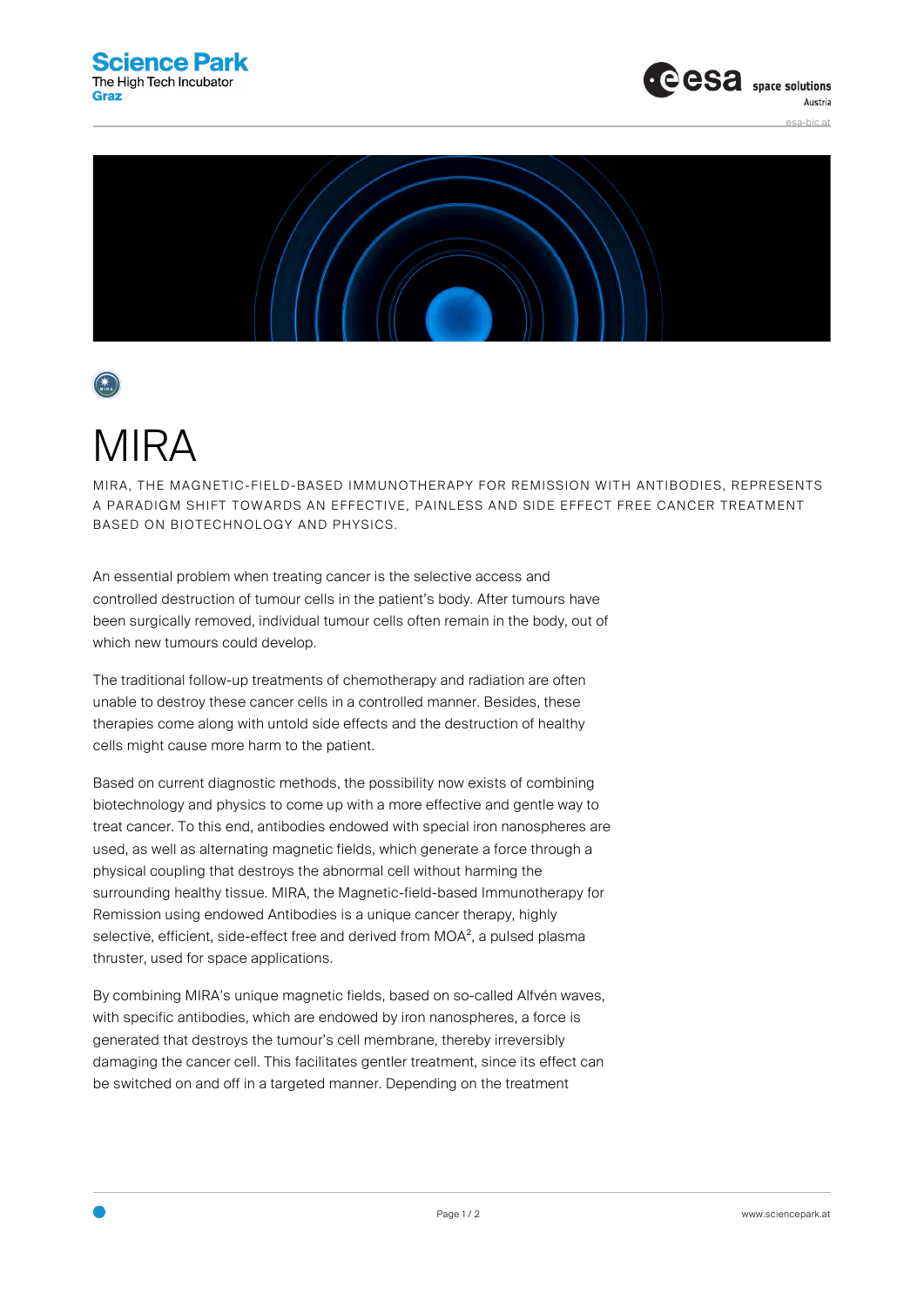



## MIRA

MIRA, THE MAGNETIC-FIELD-BASED IMMUNOTHERAPY FOR REMISSION WITH ANTIBODIES, REPRESENTS A PARADIGM SHIFT TOWARDS AN EFFECTIVE, PAINLESS AND SIDE EFFECT FREE CANCER TREATMENT BASED ON BIOTECHNOLOGY AND PHYSICS.

An essential problem when treating cancer is the selective access and controlled destruction of tumour cells in the patient's body. After tumours have been surgically removed, individual tumour cells often remain in the body, out of which new tumours could develop.

The traditional follow-up treatments of chemotherapy and radiation are often unable to destroy these cancer cells in a controlled manner. Besides, these therapies come along with untold side effects and the destruction of healthy cells might cause more harm to the patient.

Based on current diagnostic methods, the possibility now exists of combining biotechnology and physics to come up with a more effective and gentle way to treat cancer. To this end, antibodies endowed with special iron nanospheres are used, as well as alternating magnetic fields, which generate a force through a physical coupling that destroys the abnormal cell without harming the surrounding healthy tissue. MIRA, the Magnetic-field-based Immunotherapy for Remission using endowed Antibodies is a unique cancer therapy, highly selective, efficient, side-effect free and derived from MOA<sup>2</sup>, a pulsed plasma thruster, used for space applications.

By combining MIRA's unique magnetic fields, based on so-called Alfvén waves, with specific antibodies, which are endowed by iron nanospheres, a force is generated that destroys the tumour's cell membrane, thereby irreversibly damaging the cancer cell. This facilitates gentler treatment, since its effect can be switched on and off in a targeted manner. Depending on the treatment